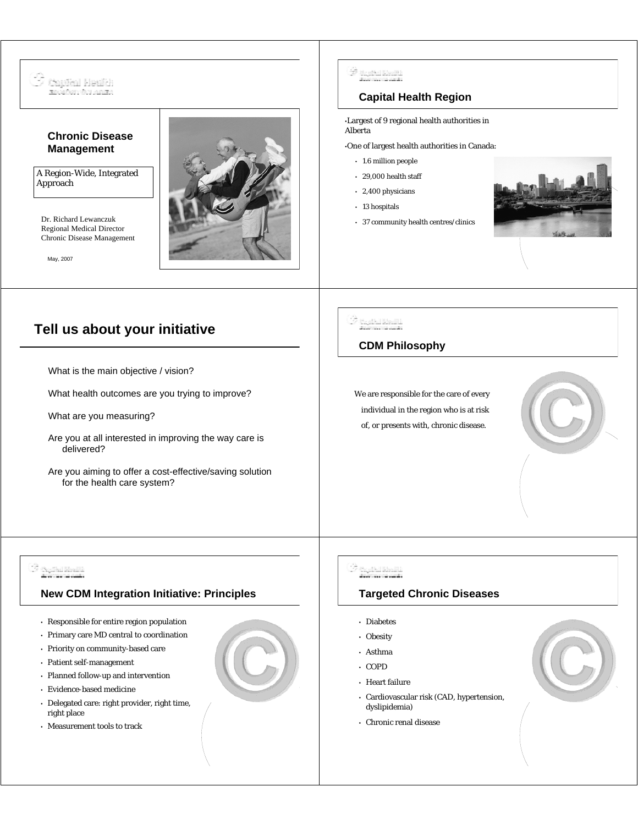

- Patient self-management
- Planned follow-up and intervention
- Evidence-based medicine
- Delegated care: right provider, right time, right place
- Measurement tools to track
- Asthma
- COPD
- Heart failure
- Cardiovascular risk (CAD, hypertension, dyslipidemia)
- Chronic renal disease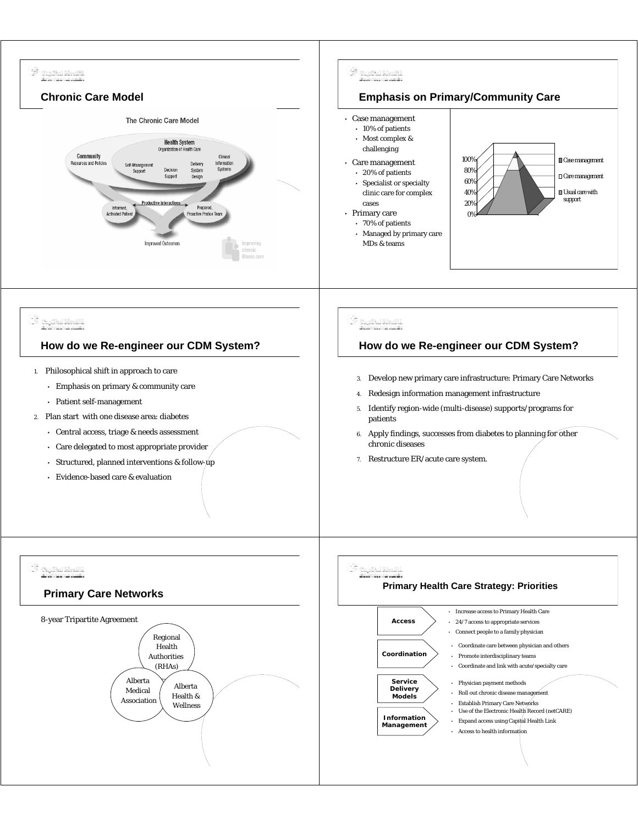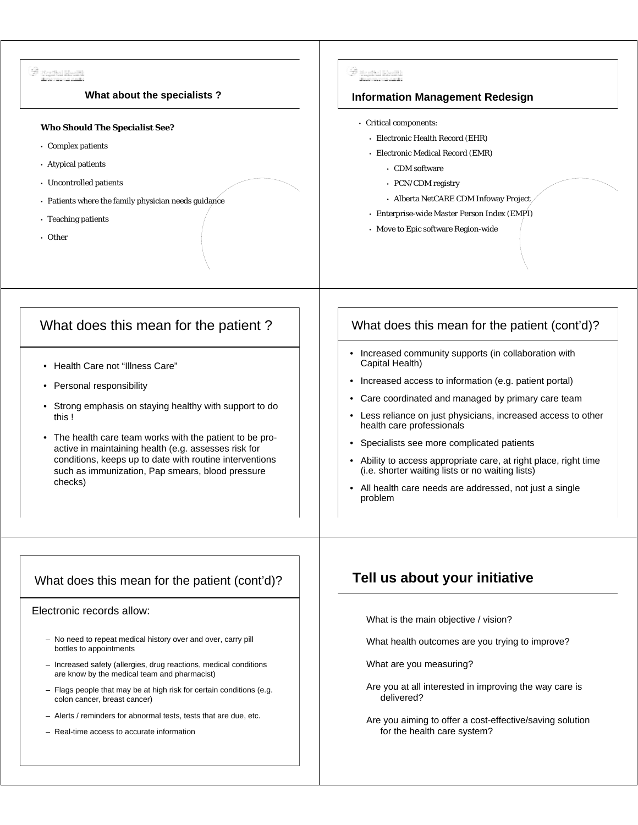| 3 Barthal Month<br>Programa and a<br>What about the specialists?                                                                                                                                                                                                                                                                                                            | de Bagital Realth)<br>Beaumona<br><b>Information Management Redesign</b>                                                                                                                                                                                                                                                                                                                                                                                                                                                                                 |
|-----------------------------------------------------------------------------------------------------------------------------------------------------------------------------------------------------------------------------------------------------------------------------------------------------------------------------------------------------------------------------|----------------------------------------------------------------------------------------------------------------------------------------------------------------------------------------------------------------------------------------------------------------------------------------------------------------------------------------------------------------------------------------------------------------------------------------------------------------------------------------------------------------------------------------------------------|
| <b>Who Should The Specialist See?</b><br>• Complex patients<br>• Atypical patients<br>• Uncontrolled patients<br>• Patients where the family physician needs guidance<br>• Teaching patients<br>• Other                                                                                                                                                                     | • Critical components:<br>- Electronic Health Record (EHR)<br>· Electronic Medical Record (EMR)<br>• CDM software<br>• PCN/CDM registry<br>• Alberta NetCARE CDM Infoway Project<br>• Enterprise-wide Master Person Index (EMPI)<br>• Move to Epic software Region-wide                                                                                                                                                                                                                                                                                  |
| What does this mean for the patient?                                                                                                                                                                                                                                                                                                                                        | What does this mean for the patient (cont'd)?                                                                                                                                                                                                                                                                                                                                                                                                                                                                                                            |
| • Health Care not "Illness Care"<br>Personal responsibility<br>Strong emphasis on staying healthy with support to do<br>this!<br>• The health care team works with the patient to be pro-<br>active in maintaining health (e.g. assesses risk for<br>conditions, keeps up to date with routine interventions<br>such as immunization, Pap smears, blood pressure<br>checks) | • Increased community supports (in collaboration with<br>Capital Health)<br>• Increased access to information (e.g. patient portal)<br>Care coordinated and managed by primary care team<br>• Less reliance on just physicians, increased access to other<br>health care professionals<br>Specialists see more complicated patients<br>$\bullet$<br>Ability to access appropriate care, at right place, right time<br>(i.e. shorter waiting lists or no waiting lists)<br>All health care needs are addressed, not just a single<br>$\bullet$<br>problem |
| What does this mean for the patient (cont'd)?                                                                                                                                                                                                                                                                                                                               | Tell us about your initiative                                                                                                                                                                                                                                                                                                                                                                                                                                                                                                                            |
| Electronic records allow:                                                                                                                                                                                                                                                                                                                                                   | What is the main objective / vision?                                                                                                                                                                                                                                                                                                                                                                                                                                                                                                                     |
| - No need to repeat medical history over and over, carry pill<br>bottles to appointments                                                                                                                                                                                                                                                                                    | What health outcomes are you trying to improve?                                                                                                                                                                                                                                                                                                                                                                                                                                                                                                          |
| - Increased safety (allergies, drug reactions, medical conditions<br>are know by the medical team and pharmacist)                                                                                                                                                                                                                                                           | What are you measuring?                                                                                                                                                                                                                                                                                                                                                                                                                                                                                                                                  |
| - Flags people that may be at high risk for certain conditions (e.g.<br>colon cancer, breast cancer)                                                                                                                                                                                                                                                                        | Are you at all interested in improving the way care is<br>delivered?                                                                                                                                                                                                                                                                                                                                                                                                                                                                                     |
| - Alerts / reminders for abnormal tests, tests that are due, etc.<br>- Real-time access to accurate information                                                                                                                                                                                                                                                             | Are you aiming to offer a cost-effective/saving solution<br>for the health care system?                                                                                                                                                                                                                                                                                                                                                                                                                                                                  |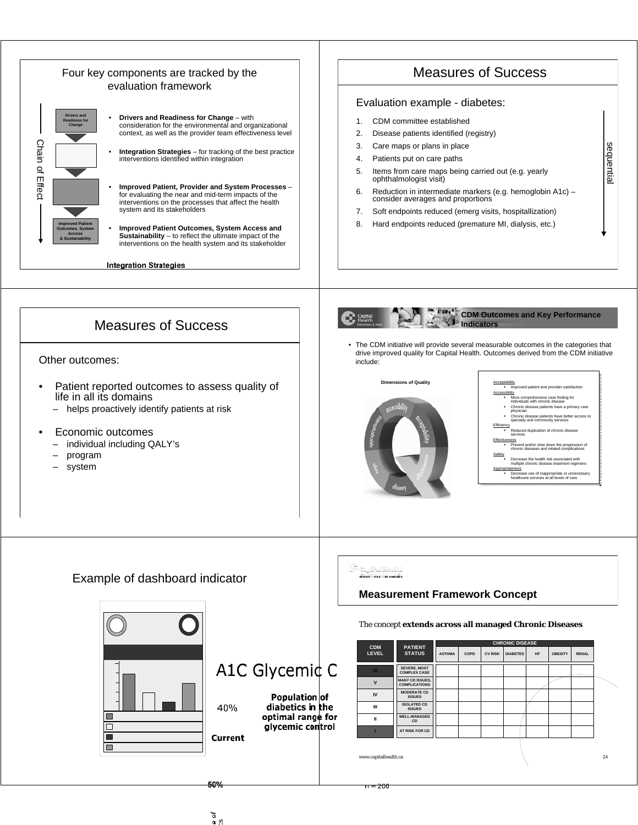

 $\mathfrak{b}$ ņ o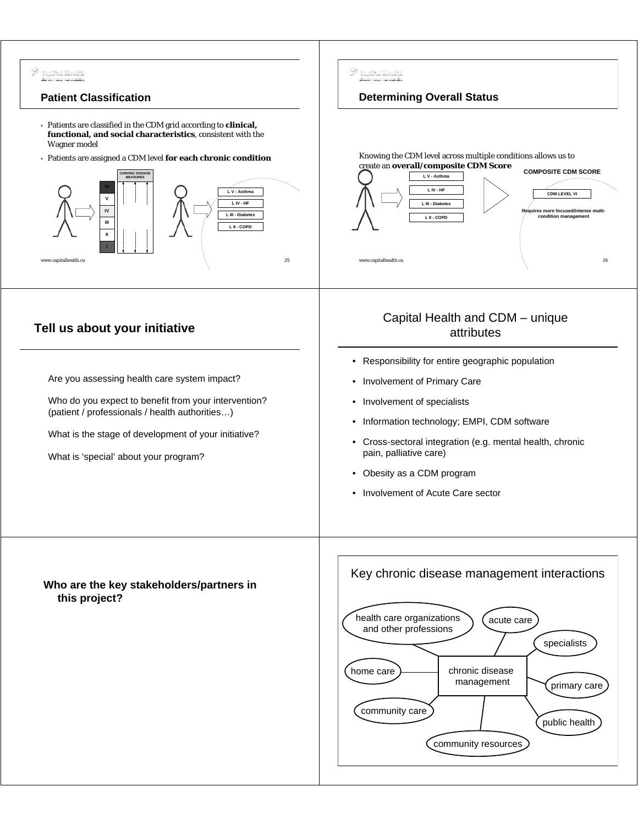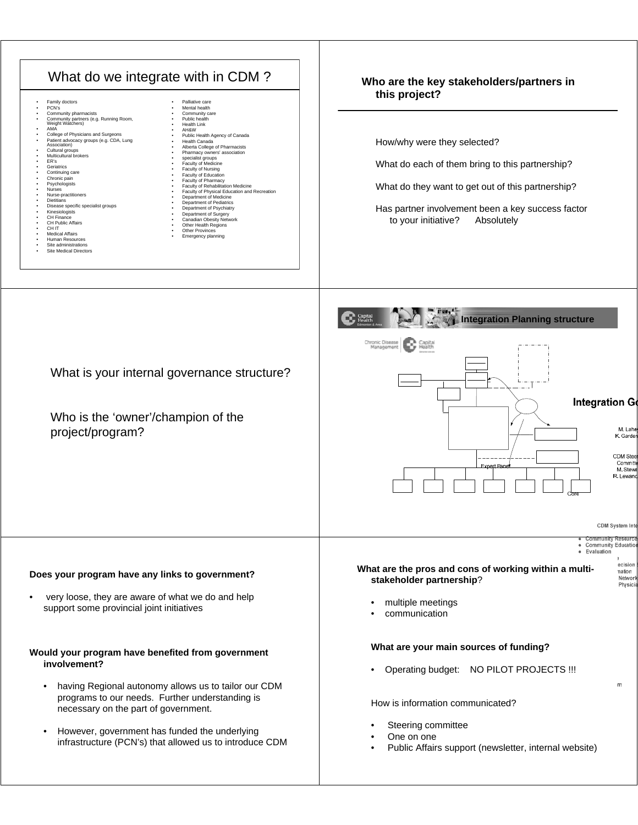